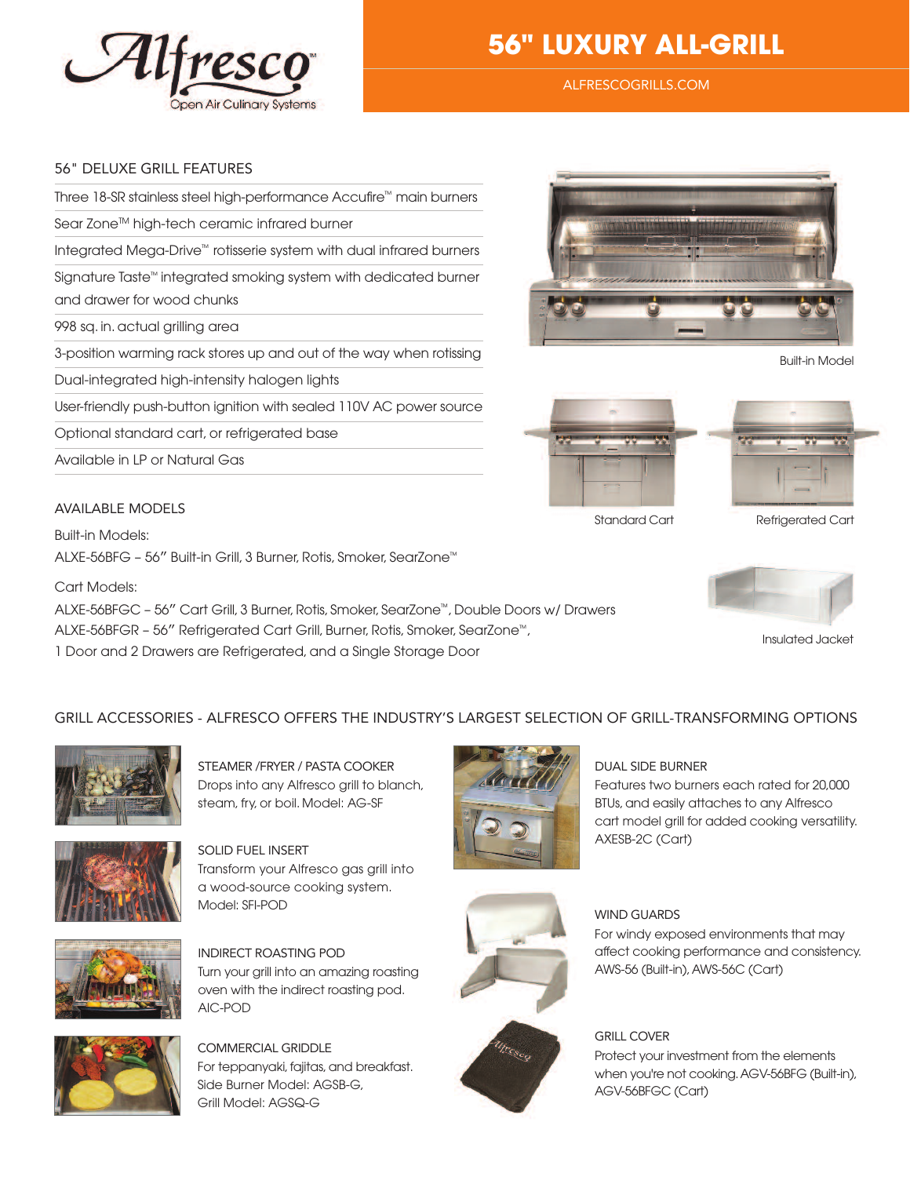

# **56" LUXURY ALL-GRILL**

AlfrescoGrills.com

#### 56" deluXe Grill feAtures

Three 18-SR stainless steel high-performance Accufire™ main burners

Sear Zone™ high-tech ceramic infrared burner

Integrated Mega-Drive™ rotisserie system with dual infrared burners

Signature Taste™ integrated smoking system with dedicated burner and drawer for wood chunks

998 sq. in. actual grilling area

3-position warming rack stores up and out of the way when rotissing

Dual-integrated high-intensity halogen lights

User-friendly push-button ignition with sealed 110V AC power source

Optional standard cart, or refrigerated base

Available in LP or Natural Gas

#### AVAilABle models

Built-in Models: ALXE-56BFG – 56″ Built-in Grill, 3 Burner, Rotis, Smoker, SearZone™

Cart Models:

ALXE-56BFGC – 56″ Cart Grill, 3 Burner,Rotis, Smoker, SearZone™,Double Doors w/ Drawers

ALXE-56BFGR – 56″ Refrigerated Cart Grill, Burner, Rotis, Smoker, SearZone™,

1 Door and 2 Drawers are Refrigerated, and a Single Storage Door



Built-in Model



Standard Cart Refrigerated Cart



Insulated Jacket

### Grill Accessories - Alfresco offers the industry's lArGest selection of Grill-trAnsforminG options



STEAMER / FRYER / PASTA COOKER Drops into any Alfresco grill to blanch, steam, fry, or boil. Model: AG-SF



solid fuel insert Transform your Alfresco gas grill into a wood-source cooking system. Model: SFI-POD



indirect roAstinG pod Turn your grill into an amazing roasting oven with the indirect roasting pod. AIC-POD



commerciAl Griddle For teppanyaki, fajitas, and breakfast. Side Burner Model: AGSB-G, Grill Model: AGSQ-G



fresco

#### duAl side Burner

Features two burners each rated for 20,000 BTUs, and easily attaches to any Alfresco cart model grill for added cooking versatility. AXESB-2C (Cart)

# WIND GUARDS

#### For windy exposed environments that may affect cooking performance and consistency. AWS-56 (Built-in),AWS-56C (Cart)

## **GRILL COVER**

Protect your investment from the elements when you're not cooking.AGV-56BFG (Built-in), AGV-56BFGC (Cart)